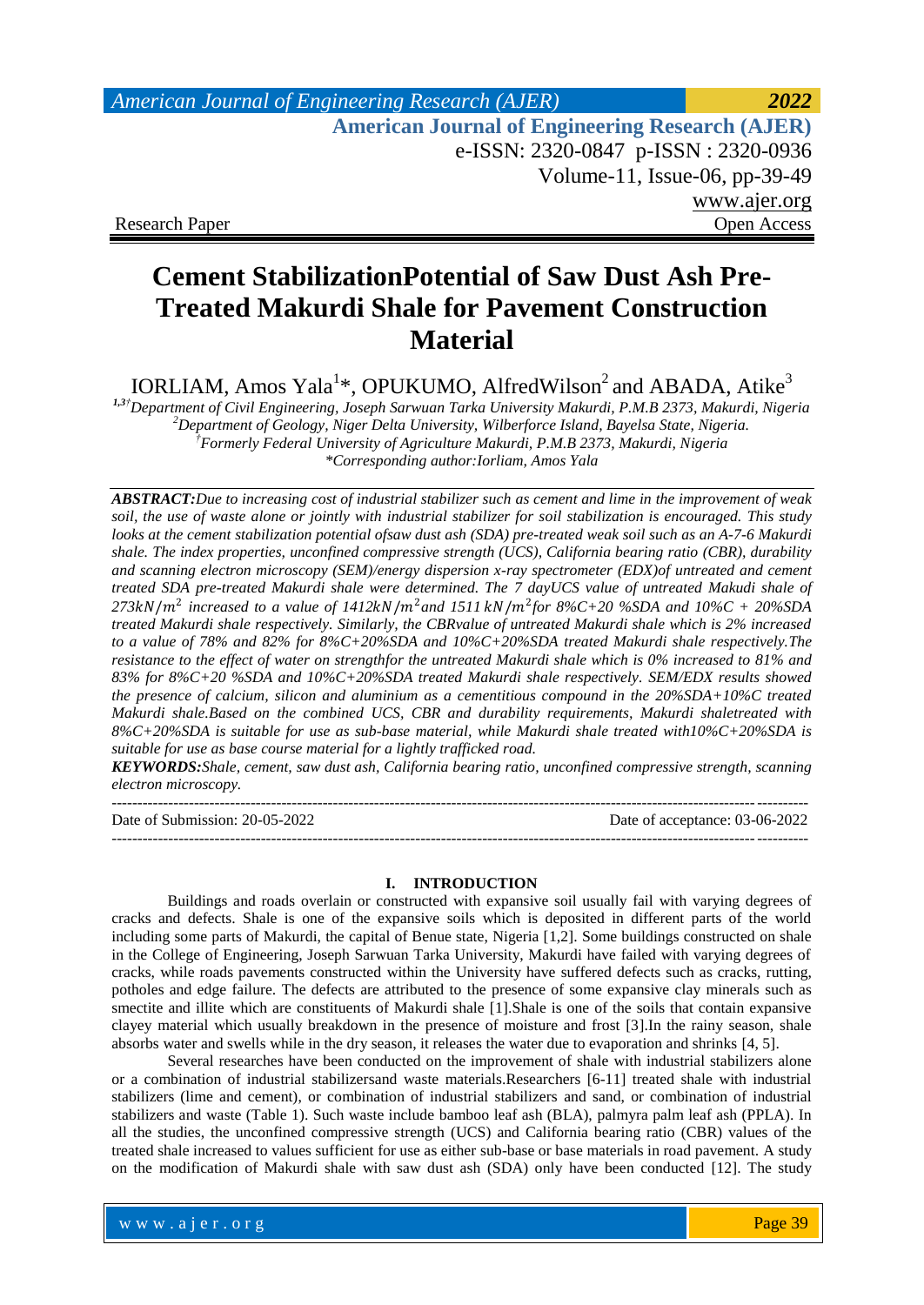# *American Journal of Engineering Research (AJER) 2022*  **American Journal of Engineering Research (AJER)** e-ISSN: 2320-0847 p-ISSN : 2320-0936 Volume-11, Issue-06, pp-39-49 www.ajer.org Research Paper **Open Access** Open Access **Open Access**

# **Cement StabilizationPotential of Saw Dust Ash Pre-Treated Makurdi Shale for Pavement Construction Material**

IORLIAM, Amos Yala<sup>1\*</sup>, OPUKUMO, AlfredWilson<sup>2</sup> and ABADA, Atike<sup>3</sup>

*1,3†Department of Civil Engineering, Joseph Sarwuan Tarka University Makurdi, P.M.B 2373, Makurdi, Nigeria <sup>2</sup>Department of Geology, Niger Delta University, Wilberforce Island, Bayelsa State, Nigeria. †Formerly Federal University of Agriculture Makurdi, P.M.B 2373, Makurdi, Nigeria \*Corresponding author:Iorliam, Amos Yala*

*ABSTRACT:Due to increasing cost of industrial stabilizer such as cement and lime in the improvement of weak soil, the use of waste alone or jointly with industrial stabilizer for soil stabilization is encouraged. This study*  looks at the cement stabilization potential ofsaw dust ash (SDA) pre-treated weak soil such as an A-7-6 Makurdi *shale. The index properties, unconfined compressive strength (UCS), California bearing ratio (CBR), durability and scanning electron microscopy (SEM)/energy dispersion x-ray spectrometer (EDX)of untreated and cement treated SDA pre-treated Makurdi shale were determined. The 7 dayUCS value of untreated Makudi shale of*  273kN/ $m^2$  increased to a value of 1412kN/ $m^2$ and 1511 kN/ $m^2$ for 8%C+20 %SDA and 10%C + 20%SDA *treated Makurdi shale respectively. Similarly, the CBRvalue of untreated Makurdi shale which is 2% increased to a value of 78% and 82% for 8%C+20%SDA and 10%C+20%SDA treated Makurdi shale respectively.The resistance to the effect of water on strengthfor the untreated Makurdi shale which is 0% increased to 81% and 83% for 8%C+20 %SDA and 10%C+20%SDA treated Makurdi shale respectively. SEM/EDX results showed the presence of calcium, silicon and aluminium as a cementitious compound in the 20%SDA+10%C treated Makurdi shale.Based on the combined UCS, CBR and durability requirements, Makurdi shaletreated with 8%C+20%SDA is suitable for use as sub-base material, while Makurdi shale treated with10%C+20%SDA is suitable for use as base course material for a lightly trafficked road.*

*KEYWORDS:Shale, cement, saw dust ash, California bearing ratio, unconfined compressive strength, scanning electron microscopy.*

---------------------------------------------------------------------------------------------------------------------------------------

Date of Submission: 20-05-2022 Date of acceptance: 03-06-2022 ---------------------------------------------------------------------------------------------------------------------------------------

#### **I. INTRODUCTION**

Buildings and roads overlain or constructed with expansive soil usually fail with varying degrees of cracks and defects. Shale is one of the expansive soils which is deposited in different parts of the world including some parts of Makurdi, the capital of Benue state, Nigeria [1,2]. Some buildings constructed on shale in the College of Engineering, Joseph Sarwuan Tarka University, Makurdi have failed with varying degrees of cracks, while roads pavements constructed within the University have suffered defects such as cracks, rutting, potholes and edge failure. The defects are attributed to the presence of some expansive clay minerals such as smectite and illite which are constituents of Makurdi shale [1].Shale is one of the soils that contain expansive clayey material which usually breakdown in the presence of moisture and frost [3].In the rainy season, shale absorbs water and swells while in the dry season, it releases the water due to evaporation and shrinks [4, 5].

Several researches have been conducted on the improvement of shale with industrial stabilizers alone or a combination of industrial stabilizersand waste materials.Researchers [6-11] treated shale with industrial stabilizers (lime and cement), or combination of industrial stabilizers and sand, or combination of industrial stabilizers and waste (Table 1). Such waste include bamboo leaf ash (BLA), palmyra palm leaf ash (PPLA). In all the studies, the unconfined compressive strength (UCS) and California bearing ratio (CBR) values of the treated shale increased to values sufficient for use as either sub-base or base materials in road pavement. A study on the modification of Makurdi shale with saw dust ash (SDA) only have been conducted [12]. The study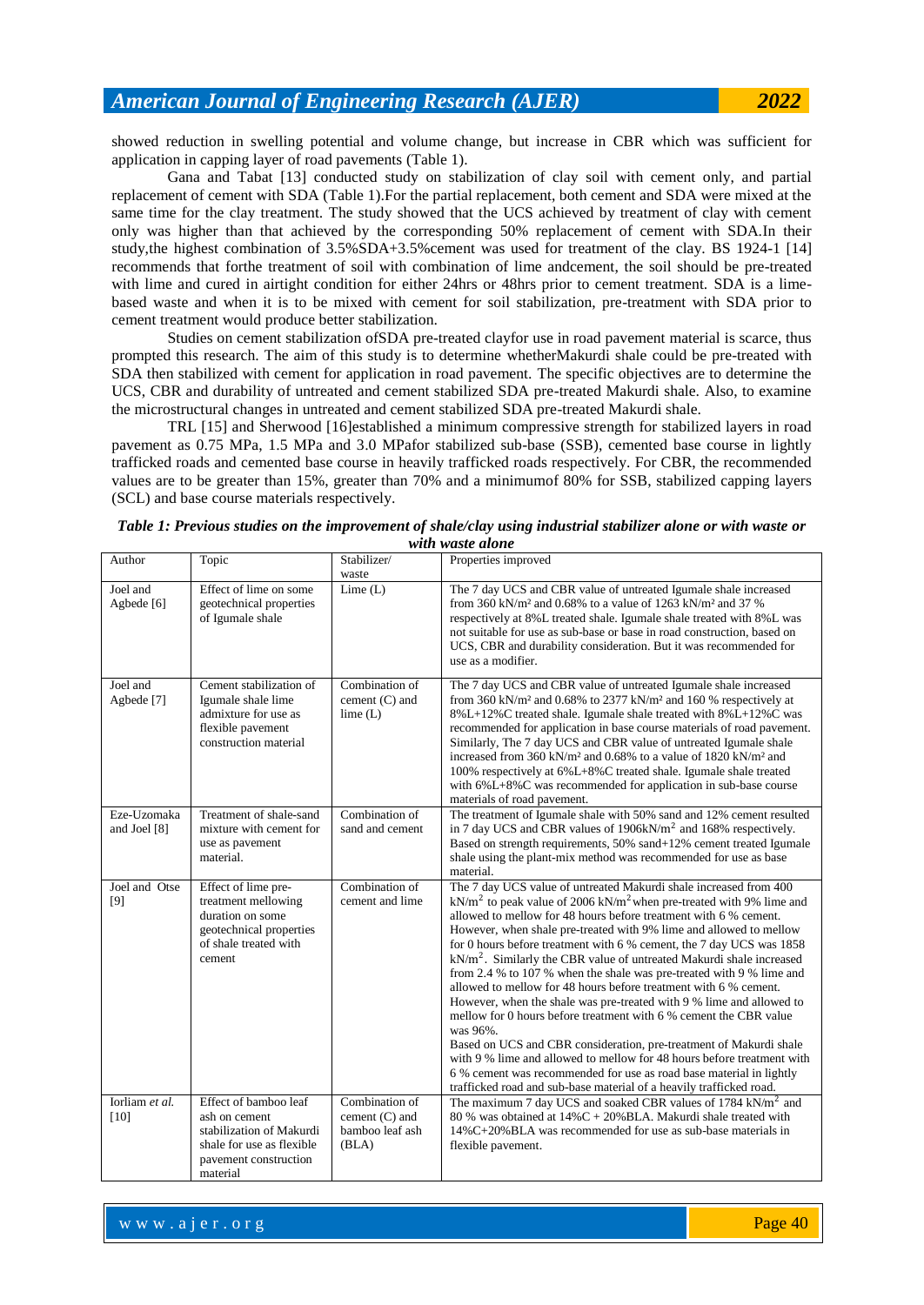showed reduction in swelling potential and volume change, but increase in CBR which was sufficient for application in capping layer of road pavements (Table 1).

Gana and Tabat [13] conducted study on stabilization of clay soil with cement only, and partial replacement of cement with SDA (Table 1).For the partial replacement, both cement and SDA were mixed at the same time for the clay treatment. The study showed that the UCS achieved by treatment of clay with cement only was higher than that achieved by the corresponding 50% replacement of cement with SDA.In their study,the highest combination of 3.5%SDA+3.5%cement was used for treatment of the clay. BS 1924-1 [14] recommends that forthe treatment of soil with combination of lime andcement, the soil should be pre-treated with lime and cured in airtight condition for either 24hrs or 48hrs prior to cement treatment. SDA is a limebased waste and when it is to be mixed with cement for soil stabilization, pre-treatment with SDA prior to cement treatment would produce better stabilization.

Studies on cement stabilization ofSDA pre-treated clayfor use in road pavement material is scarce, thus prompted this research. The aim of this study is to determine whetherMakurdi shale could be pre-treated with SDA then stabilized with cement for application in road pavement. The specific objectives are to determine the UCS, CBR and durability of untreated and cement stabilized SDA pre-treated Makurdi shale. Also, to examine the microstructural changes in untreated and cement stabilized SDA pre-treated Makurdi shale.

TRL [15] and Sherwood [16]established a minimum compressive strength for stabilized layers in road pavement as 0.75 MPa, 1.5 MPa and 3.0 MPafor stabilized sub-base (SSB), cemented base course in lightly trafficked roads and cemented base course in heavily trafficked roads respectively. For CBR, the recommended values are to be greater than 15%, greater than 70% and a minimumof 80% for SSB, stabilized capping layers (SCL) and base course materials respectively.

| Author                      | Topic                                                                                                                                | Stabilizer/<br>waste                                           | Properties improved                                                                                                                                                                                                                                                                                                                                                                                                                                                                                                                                                                                                                                                                                                                                                                                                                                                                                                                                                                                                                                   |
|-----------------------------|--------------------------------------------------------------------------------------------------------------------------------------|----------------------------------------------------------------|-------------------------------------------------------------------------------------------------------------------------------------------------------------------------------------------------------------------------------------------------------------------------------------------------------------------------------------------------------------------------------------------------------------------------------------------------------------------------------------------------------------------------------------------------------------------------------------------------------------------------------------------------------------------------------------------------------------------------------------------------------------------------------------------------------------------------------------------------------------------------------------------------------------------------------------------------------------------------------------------------------------------------------------------------------|
| Joel and<br>Agbede [6]      | Effect of lime on some<br>geotechnical properties<br>of Igumale shale                                                                | Lime $(L)$                                                     | The 7 day UCS and CBR value of untreated Igumale shale increased<br>from 360 kN/m <sup>2</sup> and 0.68% to a value of 1263 kN/m <sup>2</sup> and 37 %<br>respectively at 8%L treated shale. Igumale shale treated with 8%L was<br>not suitable for use as sub-base or base in road construction, based on<br>UCS, CBR and durability consideration. But it was recommended for<br>use as a modifier.                                                                                                                                                                                                                                                                                                                                                                                                                                                                                                                                                                                                                                                 |
| Joel and<br>Agbede [7]      | Cement stabilization of<br>Igumale shale lime<br>admixture for use as<br>flexible payement<br>construction material                  | Combination of<br>cement $(C)$ and<br>lime $(L)$               | The 7 day UCS and CBR value of untreated Igumale shale increased<br>from 360 kN/m <sup>2</sup> and 0.68% to 2377 kN/m <sup>2</sup> and 160 % respectively at<br>8%L+12%C treated shale. Igumale shale treated with 8%L+12%C was<br>recommended for application in base course materials of road pavement.<br>Similarly, The 7 day UCS and CBR value of untreated Igumale shale<br>increased from 360 kN/m <sup>2</sup> and 0.68% to a value of 1820 kN/m <sup>2</sup> and<br>100% respectively at 6%L+8%C treated shale. Igumale shale treated<br>with 6%L+8%C was recommended for application in sub-base course<br>materials of road pavement.                                                                                                                                                                                                                                                                                                                                                                                                      |
| Eze-Uzomaka<br>and Joel [8] | Treatment of shale-sand<br>mixture with cement for<br>use as pavement<br>material.                                                   | Combination of<br>sand and cement                              | The treatment of Igumale shale with 50% sand and 12% cement resulted<br>in 7 day UCS and CBR values of 1906kN/m <sup>2</sup> and 168% respectively.<br>Based on strength requirements, 50% sand+12% cement treated Igumale<br>shale using the plant-mix method was recommended for use as base<br>material.                                                                                                                                                                                                                                                                                                                                                                                                                                                                                                                                                                                                                                                                                                                                           |
| Joel and Otse<br>[9]        | Effect of lime pre-<br>treatment mellowing<br>duration on some<br>geotechnical properties<br>of shale treated with<br>cement         | Combination of<br>cement and lime                              | The 7 day UCS value of untreated Makurdi shale increased from 400<br>$kN/m2$ to peak value of 2006 kN/m <sup>2</sup> when pre-treated with 9% lime and<br>allowed to mellow for 48 hours before treatment with 6 % cement.<br>However, when shale pre-treated with 9% lime and allowed to mellow<br>for 0 hours before treatment with 6 % cement, the 7 day UCS was 1858<br>$kN/m2$ . Similarly the CBR value of untreated Makurdi shale increased<br>from 2.4 % to 107 % when the shale was pre-treated with 9 % lime and<br>allowed to mellow for 48 hours before treatment with 6 % cement.<br>However, when the shale was pre-treated with 9 % lime and allowed to<br>mellow for 0 hours before treatment with 6 % cement the CBR value<br>was 96%.<br>Based on UCS and CBR consideration, pre-treatment of Makurdi shale<br>with 9 % lime and allowed to mellow for 48 hours before treatment with<br>6 % cement was recommended for use as road base material in lightly<br>trafficked road and sub-base material of a heavily trafficked road. |
| Iorliam et al.<br>$[10]$    | Effect of bamboo leaf<br>ash on cement<br>stabilization of Makurdi<br>shale for use as flexible<br>pavement construction<br>material | Combination of<br>cement $(C)$ and<br>bamboo leaf ash<br>(BLA) | The maximum 7 day UCS and soaked CBR values of 1784 kN/m <sup>2</sup> and<br>80 % was obtained at $14\%C + 20\%BLA$ . Makurdi shale treated with<br>14%C+20%BLA was recommended for use as sub-base materials in<br>flexible pavement.                                                                                                                                                                                                                                                                                                                                                                                                                                                                                                                                                                                                                                                                                                                                                                                                                |

*Table 1: Previous studies on the improvement of shale/clay using industrial stabilizer alone or with waste or with waste alone*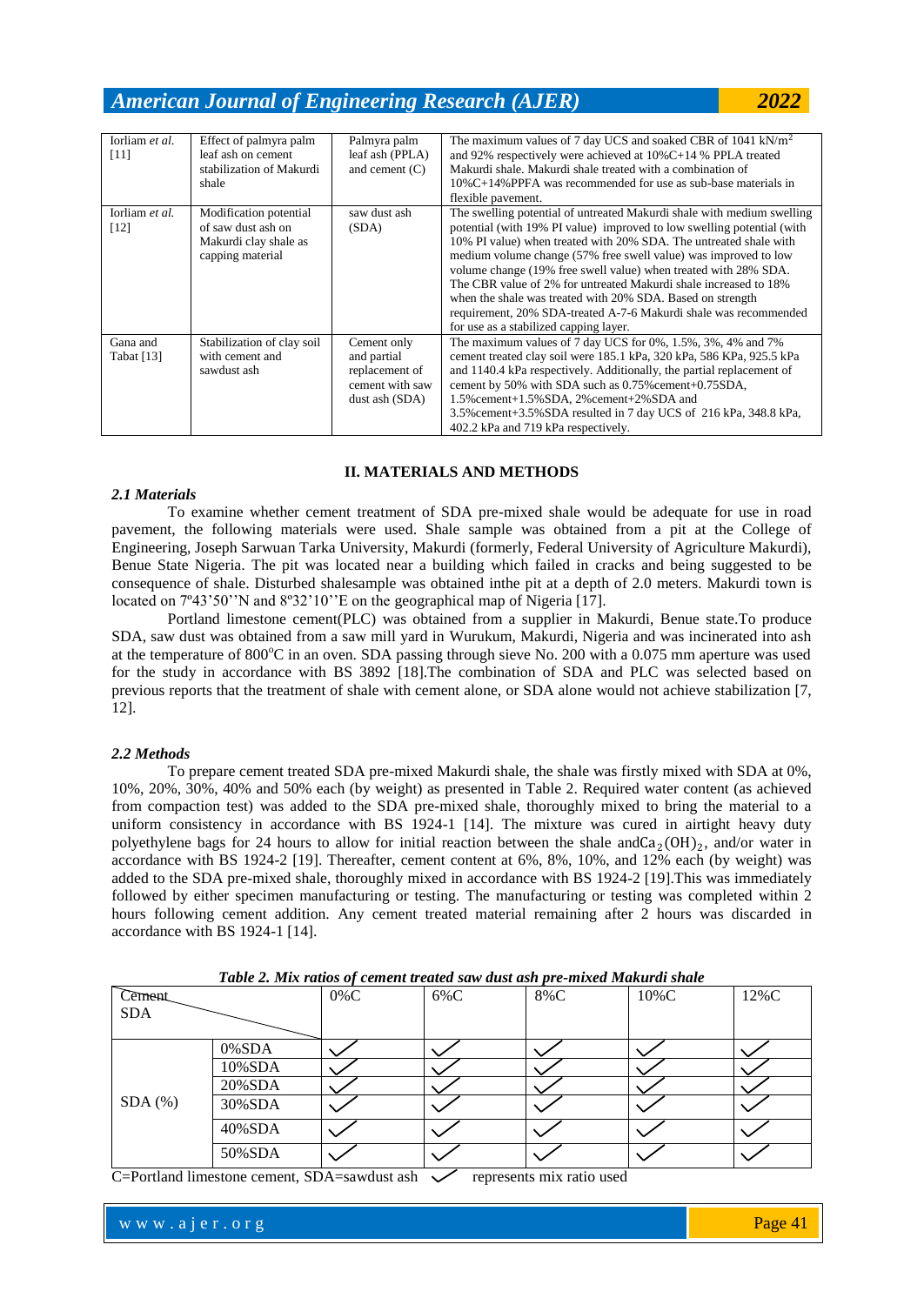| Iorliam et al.<br>$[11]$ | Effect of palmyra palm<br>leaf ash on cement<br>stabilization of Makurdi<br>shale         | Palmyra palm<br>leaf ash (PPLA)<br>and cement $(C)$                               | The maximum values of 7 day UCS and soaked CBR of 1041 kN/m <sup>2</sup><br>and 92% respectively were achieved at $10\%$ C+14 % PPLA treated<br>Makurdi shale. Makurdi shale treated with a combination of<br>$10\%C+14\%PPFA$ was recommended for use as sub-base materials in<br>flexible pavement.                                                                                                                                                                                                                                                                                                       |
|--------------------------|-------------------------------------------------------------------------------------------|-----------------------------------------------------------------------------------|-------------------------------------------------------------------------------------------------------------------------------------------------------------------------------------------------------------------------------------------------------------------------------------------------------------------------------------------------------------------------------------------------------------------------------------------------------------------------------------------------------------------------------------------------------------------------------------------------------------|
| Iorliam et al.<br>$[12]$ | Modification potential<br>of saw dust ash on<br>Makurdi clay shale as<br>capping material | saw dust ash<br>(SDA)                                                             | The swelling potential of untreated Makurdi shale with medium swelling<br>potential (with 19% PI value) improved to low swelling potential (with<br>10% PI value) when treated with 20% SDA. The untreated shale with<br>medium volume change (57% free swell value) was improved to low<br>volume change (19% free swell value) when treated with 28% SDA.<br>The CBR value of 2% for untreated Makurdi shale increased to 18%<br>when the shale was treated with 20% SDA. Based on strength<br>requirement, 20% SDA-treated A-7-6 Makurdi shale was recommended<br>for use as a stabilized capping layer. |
| Gana and<br>Tabat [13]   | Stabilization of clay soil<br>with cement and<br>sawdust ash                              | Cement only<br>and partial<br>replacement of<br>cement with saw<br>dust ash (SDA) | The maximum values of 7 day UCS for $0\%$ , $1.5\%$ , $3\%$ , $4\%$ and $7\%$<br>cement treated clay soil were 185.1 kPa, 320 kPa, 586 KPa, 925.5 kPa<br>and 1140.4 kPa respectively. Additionally, the partial replacement of<br>cement by 50% with SDA such as 0.75% cement+0.75SDA,<br>1.5% cement+1.5% SDA, 2% cement+2% SDA and<br>3.5% cement + 3.5% SDA resulted in 7 day UCS of 216 kPa, 348.8 kPa,<br>402.2 kPa and 719 kPa respectively.                                                                                                                                                          |

#### **II. MATERIALS AND METHODS**

#### *2.1 Materials*

To examine whether cement treatment of SDA pre-mixed shale would be adequate for use in road pavement, the following materials were used. Shale sample was obtained from a pit at the College of Engineering, Joseph Sarwuan Tarka University, Makurdi (formerly, Federal University of Agriculture Makurdi), Benue State Nigeria. The pit was located near a building which failed in cracks and being suggested to be consequence of shale. Disturbed shalesample was obtained inthe pit at a depth of 2.0 meters. Makurdi town is located on  $7^{\circ}43'50''$ N and  $8^{\circ}32'10''E$  on the geographical map of Nigeria [17].

Portland limestone cement(PLC) was obtained from a supplier in Makurdi, Benue state.To produce SDA, saw dust was obtained from a saw mill yard in Wurukum, Makurdi, Nigeria and was incinerated into ash at the temperature of  $800^{\circ}$ C in an oven. SDA passing through sieve No. 200 with a 0.075 mm aperture was used for the study in accordance with BS 3892 [18].The combination of SDA and PLC was selected based on previous reports that the treatment of shale with cement alone, or SDA alone would not achieve stabilization [7, 12].

#### *2.2 Methods*

To prepare cement treated SDA pre-mixed Makurdi shale, the shale was firstly mixed with SDA at 0%, 10%, 20%, 30%, 40% and 50% each (by weight) as presented in Table 2. Required water content (as achieved from compaction test) was added to the SDA pre-mixed shale, thoroughly mixed to bring the material to a uniform consistency in accordance with BS 1924-1 [14]. The mixture was cured in airtight heavy duty polyethylene bags for 24 hours to allow for initial reaction between the shale and  $Ca_2(OH)_2$ , and/or water in accordance with BS 1924-2 [19]. Thereafter, cement content at 6%, 8%, 10%, and 12% each (by weight) was added to the SDA pre-mixed shale, thoroughly mixed in accordance with BS 1924-2 [19].This was immediately followed by either specimen manufacturing or testing. The manufacturing or testing was completed within 2 hours following cement addition. Any cement treated material remaining after 2 hours was discarded in accordance with BS 1924-1 [14].

| Tuble 2, Mix ratios of cement treated saw aust ash pre-mixed makarat shale |        |         |        |     |          |      |  |  |
|----------------------------------------------------------------------------|--------|---------|--------|-----|----------|------|--|--|
| Cement                                                                     |        | $0\%$ C | $6\%C$ | 8%C | $10\%$ C | 12%C |  |  |
| <b>SDA</b>                                                                 |        |         |        |     |          |      |  |  |
|                                                                            |        |         |        |     |          |      |  |  |
|                                                                            | 0%SDA  |         |        |     |          |      |  |  |
|                                                                            | 10%SDA |         |        |     |          |      |  |  |
|                                                                            | 20%SDA |         |        |     |          |      |  |  |
| $SDA$ $(\%)$                                                               | 30%SDA |         |        |     |          |      |  |  |
|                                                                            | 40%SDA |         |        |     |          |      |  |  |
|                                                                            | 50%SDA |         |        |     |          |      |  |  |

*Table 2. Mix ratios of cement treated saw dust ash pre-mixed Makurdi shale*

C=Portland limestone cement, SDA=sawdust ash  $\checkmark$  represents mix ratio used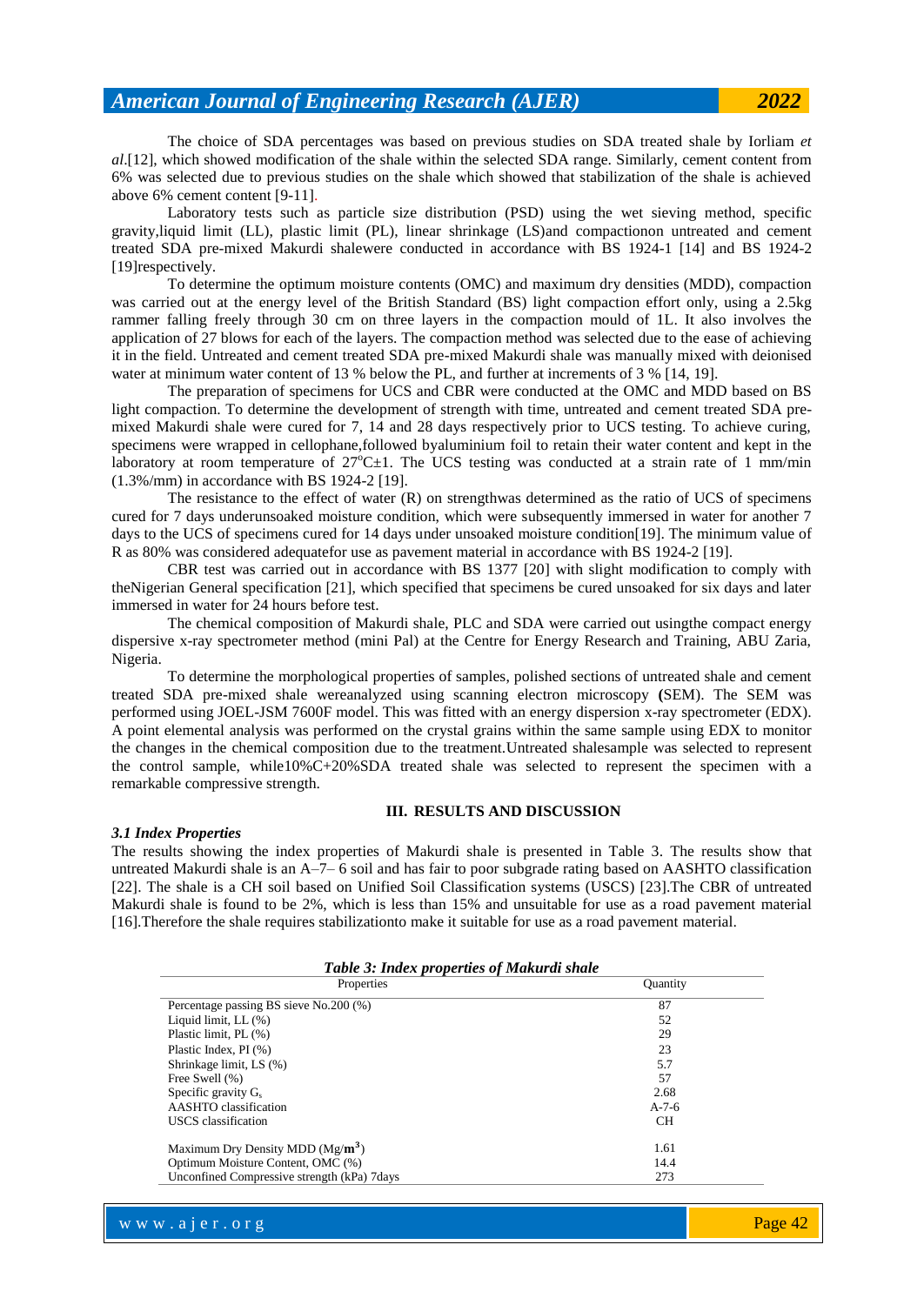The choice of SDA percentages was based on previous studies on SDA treated shale by Iorliam *et al*.[12], which showed modification of the shale within the selected SDA range. Similarly, cement content from 6% was selected due to previous studies on the shale which showed that stabilization of the shale is achieved above 6% cement content [9-11].

Laboratory tests such as particle size distribution (PSD) using the wet sieving method, specific gravity,liquid limit (LL), plastic limit (PL), linear shrinkage (LS)and compactionon untreated and cement treated SDA pre-mixed Makurdi shalewere conducted in accordance with BS 1924-1 [14] and BS 1924-2 [19] respectively.

To determine the optimum moisture contents (OMC) and maximum dry densities (MDD), compaction was carried out at the energy level of the British Standard (BS) light compaction effort only, using a 2.5kg rammer falling freely through 30 cm on three layers in the compaction mould of 1L. It also involves the application of 27 blows for each of the layers. The compaction method was selected due to the ease of achieving it in the field. Untreated and cement treated SDA pre-mixed Makurdi shale was manually mixed with deionised water at minimum water content of 13 % below the PL, and further at increments of 3 % [14, 19].

The preparation of specimens for UCS and CBR were conducted at the OMC and MDD based on BS light compaction. To determine the development of strength with time, untreated and cement treated SDA premixed Makurdi shale were cured for 7, 14 and 28 days respectively prior to UCS testing. To achieve curing, specimens were wrapped in cellophane,followed byaluminium foil to retain their water content and kept in the laboratory at room temperature of  $27^{\circ}$ C $\pm$ 1. The UCS testing was conducted at a strain rate of 1 mm/min (1.3%/mm) in accordance with BS 1924-2 [19].

The resistance to the effect of water  $(R)$  on strengthwas determined as the ratio of UCS of specimens cured for 7 days underunsoaked moisture condition, which were subsequently immersed in water for another 7 days to the UCS of specimens cured for 14 days under unsoaked moisture condition[19]. The minimum value of R as 80% was considered adequatefor use as pavement material in accordance with BS 1924-2 [19].

CBR test was carried out in accordance with BS 1377 [20] with slight modification to comply with theNigerian General specification [21], which specified that specimens be cured unsoaked for six days and later immersed in water for 24 hours before test.

The chemical composition of Makurdi shale, PLC and SDA were carried out usingthe compact energy dispersive x-ray spectrometer method (mini Pal) at the Centre for Energy Research and Training, ABU Zaria, Nigeria.

To determine the morphological properties of samples, polished sections of untreated shale and cement treated SDA pre-mixed shale wereanalyzed using scanning electron microscopy **(**SEM). The SEM was performed using JOEL-JSM 7600F model. This was fitted with an energy dispersion x-ray spectrometer (EDX). A point elemental analysis was performed on the crystal grains within the same sample using EDX to monitor the changes in the chemical composition due to the treatment.Untreated shalesample was selected to represent the control sample, while10%C+20%SDA treated shale was selected to represent the specimen with a remarkable compressive strength.

#### **III. RESULTS AND DISCUSSION**

#### *3.1 Index Properties*

The results showing the index properties of Makurdi shale is presented in Table 3. The results show that untreated Makurdi shale is an A–7– 6 soil and has fair to poor subgrade rating based on AASHTO classification [22]. The shale is a CH soil based on Unified Soil Classification systems (USCS) [23].The CBR of untreated Makurdi shale is found to be 2%, which is less than 15% and unsuitable for use as a road pavement material [16].Therefore the shale requires stabilizationto make it suitable for use as a road pavement material.

| Properties                                  | <b>Ouantity</b> |
|---------------------------------------------|-----------------|
| Percentage passing BS sieve No.200 (%)      | 87              |
| Liquid limit, $LL$ $(\%)$                   | 52              |
| Plastic limit, PL (%)                       | 29              |
| Plastic Index, PI (%)                       | 23              |
| Shrinkage limit, LS (%)                     | 5.7             |
| Free Swell (%)                              | 57              |
| Specific gravity G.                         | 2.68            |
| AASHTO classification                       | $A - 7 - 6$     |
| <b>USCS</b> classification                  | <b>CH</b>       |
| Maximum Dry Density MDD $(Mg/m3)$           | 1.61            |
| Optimum Moisture Content, OMC (%)           | 14.4            |
| Unconfined Compressive strength (kPa) 7days | 273             |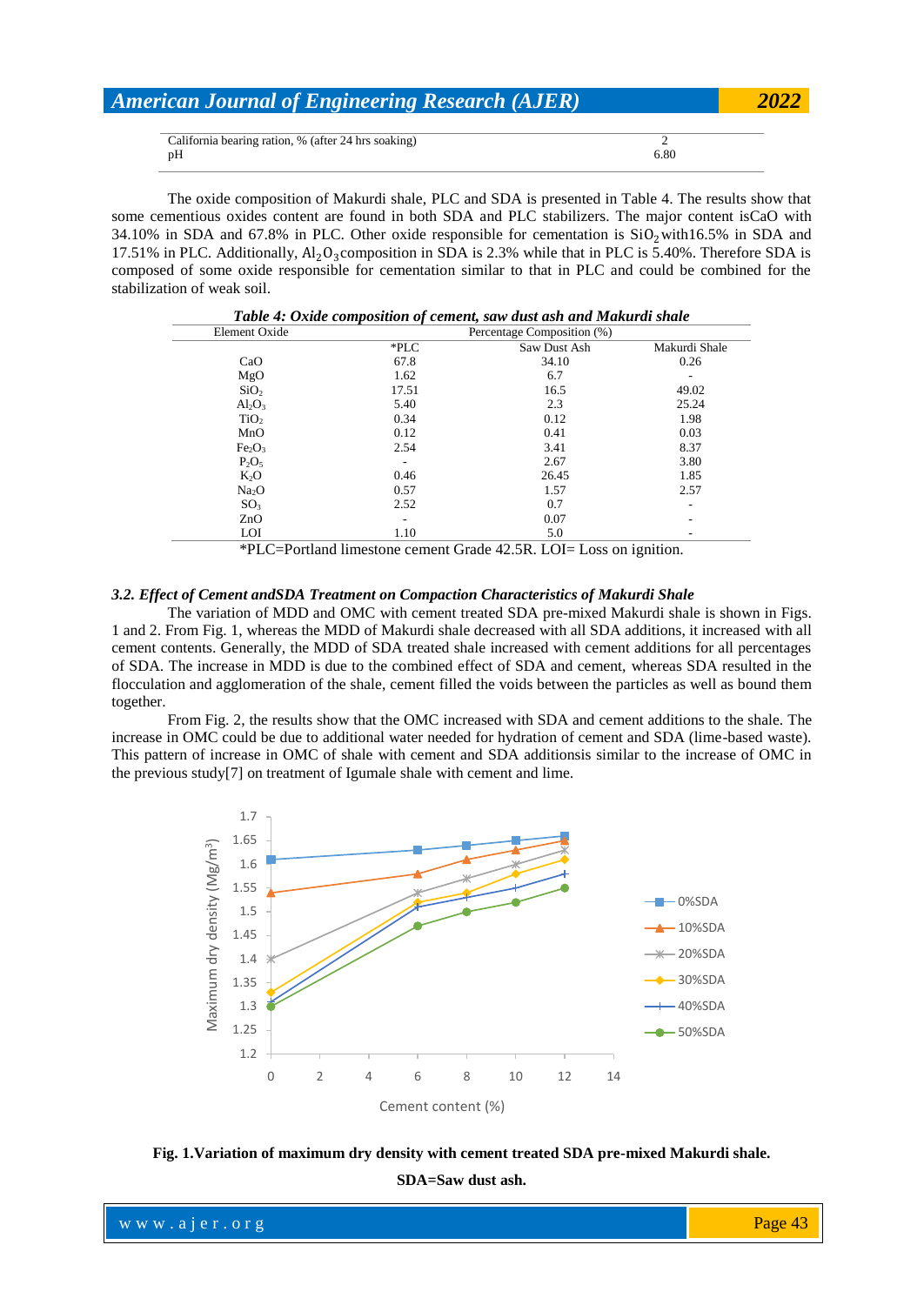|    | American Journal of Engineering Research (AJER)<br>California bearing ration, % (after 24 hrs soaking) |  |  |  |
|----|--------------------------------------------------------------------------------------------------------|--|--|--|
|    |                                                                                                        |  |  |  |
|    |                                                                                                        |  |  |  |
| pΗ | 6.80                                                                                                   |  |  |  |

The oxide composition of Makurdi shale, PLC and SDA is presented in Table 4. The results show that some cementious oxides content are found in both SDA and PLC stabilizers. The major content isCaO with 34.10% in SDA and 67.8% in PLC. Other oxide responsible for cementation is  $SiO<sub>2</sub> with 16.5%$  in SDA and 17.51% in PLC. Additionally,  $Al_2O_3$ composition in SDA is 2.3% while that in PLC is 5.40%. Therefore SDA is composed of some oxide responsible for cementation similar to that in PLC and could be combined for the stabilization of weak soil.

| Table 4: Oxide composition of cement, saw dust ash and Makurdi shale |                            |              |               |  |  |  |  |
|----------------------------------------------------------------------|----------------------------|--------------|---------------|--|--|--|--|
| Element Oxide                                                        | Percentage Composition (%) |              |               |  |  |  |  |
|                                                                      | $*PLC$                     | Saw Dust Ash | Makurdi Shale |  |  |  |  |
| CaO                                                                  | 67.8                       | 34.10        | 0.26          |  |  |  |  |
| MgO                                                                  | 1.62                       | 6.7          |               |  |  |  |  |
| SiO <sub>2</sub>                                                     | 17.51                      | 16.5         | 49.02         |  |  |  |  |
| $Al_2O_3$                                                            | 5.40                       | 2.3          | 25.24         |  |  |  |  |
| TiO <sub>2</sub>                                                     | 0.34                       | 0.12         | 1.98          |  |  |  |  |
| MnO                                                                  | 0.12                       | 0.41         | 0.03          |  |  |  |  |
| Fe <sub>2</sub> O <sub>3</sub>                                       | 2.54                       | 3.41         | 8.37          |  |  |  |  |
| $P_2O_5$                                                             |                            | 2.67         | 3.80          |  |  |  |  |
| $K_2O$                                                               | 0.46                       | 26.45        | 1.85          |  |  |  |  |
| Na <sub>2</sub> O                                                    | 0.57                       | 1.57         | 2.57          |  |  |  |  |
| SO <sub>3</sub>                                                      | 2.52                       | 0.7          |               |  |  |  |  |
| ZnO                                                                  |                            | 0.07         |               |  |  |  |  |
| <b>LOI</b>                                                           | 1.10                       | 5.0          |               |  |  |  |  |

\*PLC=Portland limestone cement Grade 42.5R. LOI= Loss on ignition.

#### *3.2. Effect of Cement andSDA Treatment on Compaction Characteristics of Makurdi Shale*

The variation of MDD and OMC with cement treated SDA pre-mixed Makurdi shale is shown in Figs. 1 and 2. From Fig. 1, whereas the MDD of Makurdi shale decreased with all SDA additions, it increased with all cement contents. Generally, the MDD of SDA treated shale increased with cement additions for all percentages of SDA. The increase in MDD is due to the combined effect of SDA and cement, whereas SDA resulted in the flocculation and agglomeration of the shale, cement filled the voids between the particles as well as bound them together.

From Fig. 2, the results show that the OMC increased with SDA and cement additions to the shale. The increase in OMC could be due to additional water needed for hydration of cement and SDA (lime-based waste). This pattern of increase in OMC of shale with cement and SDA additionsis similar to the increase of OMC in the previous study[7] on treatment of Igumale shale with cement and lime.



**Fig. 1.Variation of maximum dry density with cement treated SDA pre-mixed Makurdi shale. SDA=Saw dust ash.**

where  $\mathcal{L} = \mathcal{L} \left( \mathcal{L} \right)$  is the set of  $\mathcal{L} \left( \mathcal{L} \right)$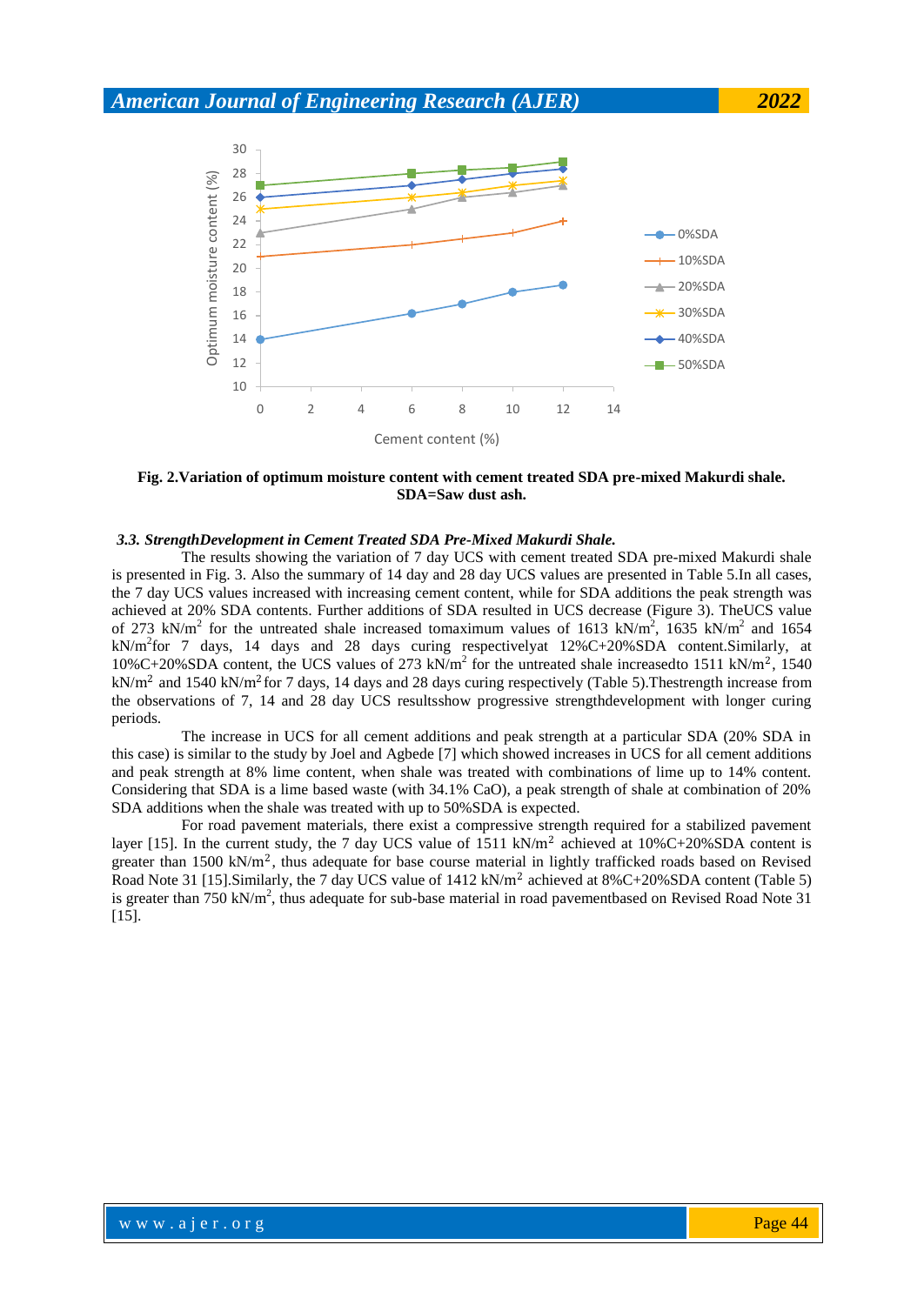

**Fig. 2.Variation of optimum moisture content with cement treated SDA pre-mixed Makurdi shale. SDA=Saw dust ash.**

#### *3.3. StrengthDevelopment in Cement Treated SDA Pre-Mixed Makurdi Shale.*

The results showing the variation of 7 day UCS with cement treated SDA pre-mixed Makurdi shale is presented in Fig. 3. Also the summary of 14 day and 28 day UCS values are presented in Table 5.In all cases, the 7 day UCS values increased with increasing cement content, while for SDA additions the peak strength was achieved at 20% SDA contents. Further additions of SDA resulted in UCS decrease (Figure 3). TheUCS value of 273 kN/m<sup>2</sup> for the untreated shale increased tomaximum values of 1613 kN/m<sup>2</sup>, 1635 kN/m<sup>2</sup> and 1654  $kN/m^2$  for 7 days, 14 days and 28 days curing respectively at 12%C+20%SDA content. Similarly, at 10%C+20%SDA content, the UCS values of 273 kN/m<sup>2</sup> for the untreated shale increasedto 1511 kN/m<sup>2</sup>, 1540 kN/m<sup>2</sup> and 1540 kN/m<sup>2</sup> for 7 days, 14 days and 28 days curing respectively (Table 5). The strength increase from the observations of 7, 14 and 28 day UCS resultsshow progressive strengthdevelopment with longer curing periods.

The increase in UCS for all cement additions and peak strength at a particular SDA (20% SDA in this case) is similar to the study by Joel and Agbede [7] which showed increases in UCS for all cement additions and peak strength at 8% lime content, when shale was treated with combinations of lime up to 14% content. Considering that SDA is a lime based waste (with 34.1% CaO), a peak strength of shale at combination of 20% SDA additions when the shale was treated with up to 50%SDA is expected.

For road pavement materials, there exist a compressive strength required for a stabilized pavement layer [15]. In the current study, the 7 day UCS value of 1511 kN/m<sup>2</sup> achieved at  $10\%C+20\%SDA$  content is greater than  $1500 \text{ kN/m}^2$ , thus adequate for base course material in lightly trafficked roads based on Revised Road Note 31 [15]. Similarly, the 7 day UCS value of  $1412 \text{ kN/m}^2$  achieved at  $8\%$ C+20%SDA content (Table 5) is greater than 750 kN/ $m^2$ , thus adequate for sub-base material in road pavementbased on Revised Road Note 31 [15].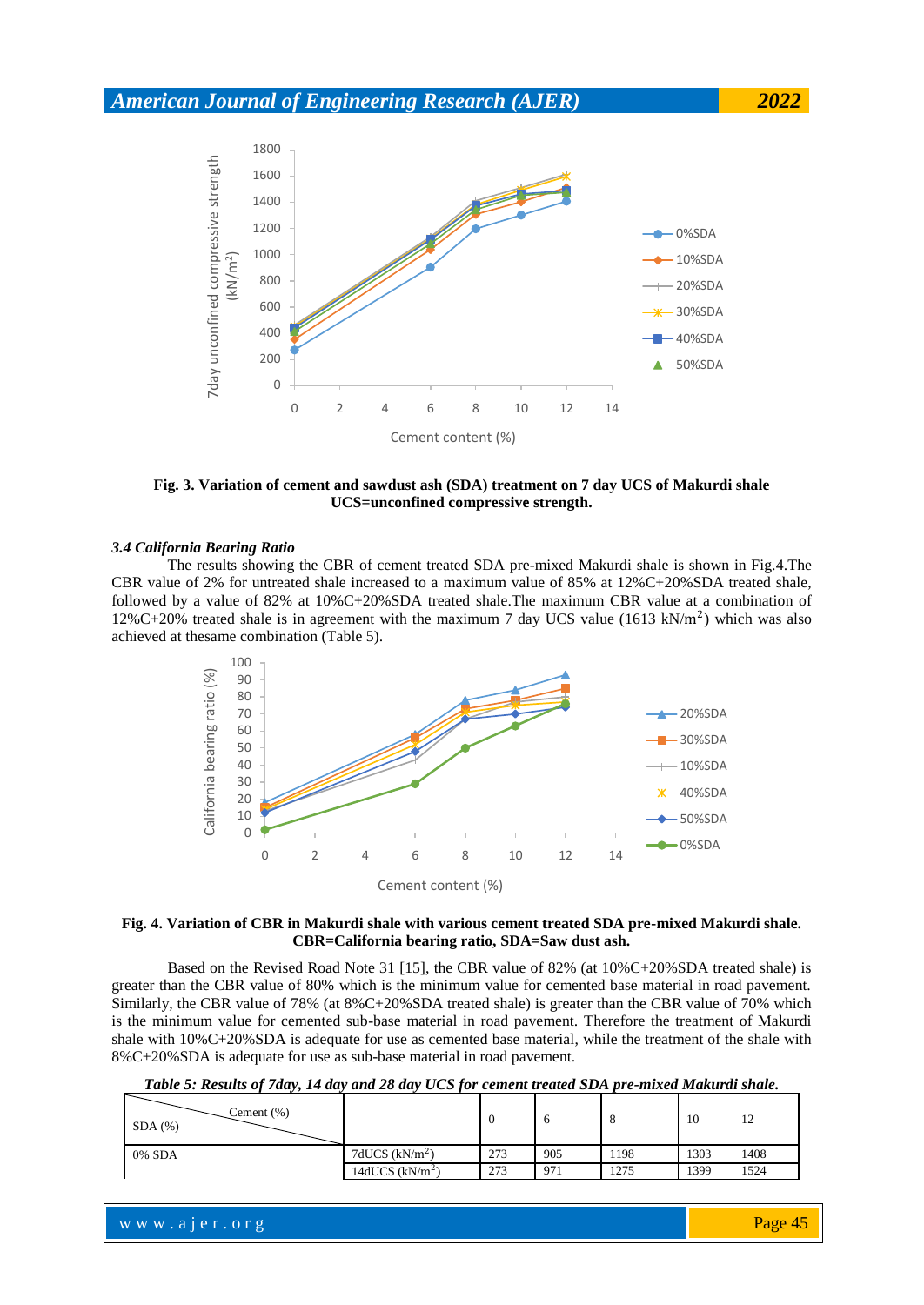

**Fig. 3. Variation of cement and sawdust ash (SDA) treatment on 7 day UCS of Makurdi shale UCS=unconfined compressive strength.**

#### *3.4 California Bearing Ratio*

The results showing the CBR of cement treated SDA pre-mixed Makurdi shale is shown in Fig.4.The CBR value of 2% for untreated shale increased to a maximum value of 85% at 12%C+20%SDA treated shale, followed by a value of 82% at 10%C+20%SDA treated shale.The maximum CBR value at a combination of 12%C+20% treated shale is in agreement with the maximum 7 day UCS value  $(1613 \text{ kN/m}^2)$  which was also achieved at thesame combination (Table 5).



#### **Fig. 4. Variation of CBR in Makurdi shale with various cement treated SDA pre-mixed Makurdi shale. CBR=California bearing ratio, SDA=Saw dust ash.**

Based on the Revised Road Note 31 [15], the CBR value of 82% (at 10%C+20%SDA treated shale) is greater than the CBR value of 80% which is the minimum value for cemented base material in road pavement. Similarly, the CBR value of 78% (at 8%C+20%SDA treated shale) is greater than the CBR value of 70% which is the minimum value for cemented sub-base material in road pavement. Therefore the treatment of Makurdi shale with 10%C+20%SDA is adequate for use as cemented base material, while the treatment of the shale with 8%C+20%SDA is adequate for use as sub-base material in road pavement.

*Table 5: Results of 7day, 14 day and 28 day UCS for cement treated SDA pre-mixed Makurdi shale.*

| Cement $(\%)$<br>$SDA$ $(\%)$ |                  | - 0 |     | o    | 10   | 12   |
|-------------------------------|------------------|-----|-----|------|------|------|
| 0% SDA                        | 7dUCS $(kN/m2)$  | 273 | 905 | 198  | 1303 | 1408 |
|                               | 14dUCS $(kN/m2)$ | 273 | 971 | 1275 | 1399 | 1524 |

w w w . a j e r . o r g where  $\mathcal{L} = \mathcal{L} \left( \mathcal{L} \right)$  is the set of  $\mathcal{L} \left( \mathcal{L} \right)$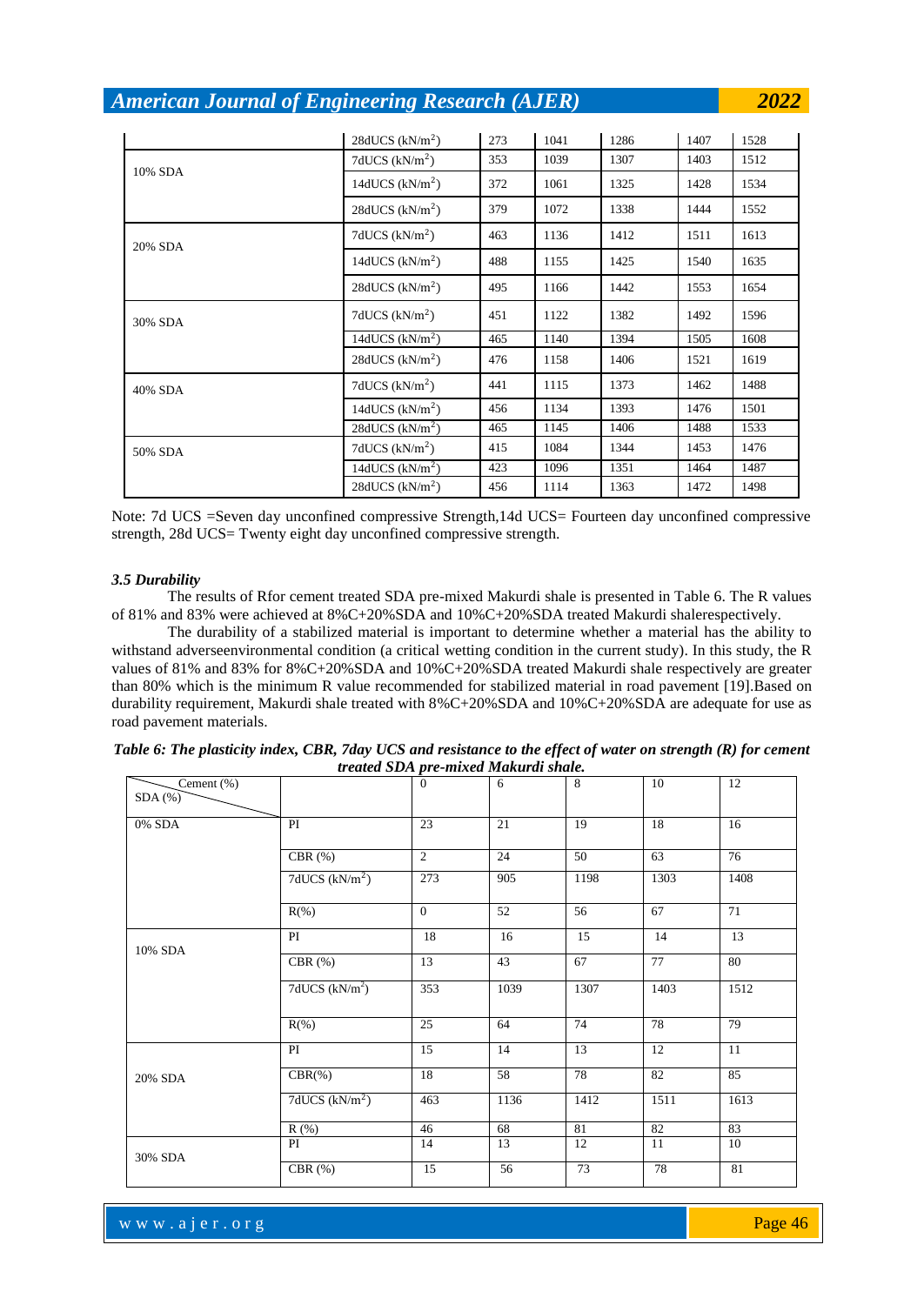$28dUCS$  (kN/m<sup>2</sup>) ) 273 1041 1286 1407 1528 10% SDA  $7dUCS$  (kN/m<sup>2</sup>) ) 353 1039 1307 1403 1512 14dUCS  $(kN/m<sup>2</sup>)$ ) 372 1061 1325 1428 1534 28dUCS  $(kN/m<sup>2</sup>)$ ) 379 1072 1338 1444 1552 20% SDA  $7dUCS$  (kN/m<sup>2</sup>) ) 463 1136 1412 1511 1613 14dUCS  $(kN/m<sup>2</sup>)$ ) 488 1155 1425 1540 1635 28dUCS  $(kN/m<sup>2</sup>)$ ) 495 1166 1442 1553 1654 30% SDA 7dUCS (kN/m<sup>2</sup> ) 451 1122 1382 1492 1596 14dUCS  $(kN/m<sup>2</sup>)$ ) 465 1140 1394 1505 1608 28dUCS  $(kN/m<sup>2</sup>)$ ) 476 1158 1406 1521 1619 40% SDA 7dUCS (kN/m<sup>2</sup> ) 441 1115 1373 1462 1488 14dUCS  $(kN/m<sup>2</sup>)$ ) 456 1134 1393 1476 1501  $28dUCS (kN/m<sup>2</sup>)$ ) 465 1145 1406 1488 1533 50% SDA 7dUCS (kN/m<sup>2</sup> ) 415 1084 1344 1453 1476 14dUCS (kN/m<sup>2</sup> ) 423 1096 1351 1464 1487  $28dUCS$  (kN/m<sup>2</sup>) ) 456 1114 1363 1472 1498

Note: 7d UCS =Seven day unconfined compressive Strength,14d UCS= Fourteen day unconfined compressive strength, 28d UCS= Twenty eight day unconfined compressive strength.

#### *3.5 Durability*

The results of Rfor cement treated SDA pre-mixed Makurdi shale is presented in Table 6. The R values of 81% and 83% were achieved at 8%C+20%SDA and 10%C+20%SDA treated Makurdi shalerespectively.

The durability of a stabilized material is important to determine whether a material has the ability to withstand adverseenvironmental condition (a critical wetting condition in the current study). In this study, the R values of 81% and 83% for 8%C+20%SDA and 10%C+20%SDA treated Makurdi shale respectively are greater than 80% which is the minimum R value recommended for stabilized material in road pavement [19].Based on durability requirement, Makurdi shale treated with 8%C+20%SDA and 10%C+20%SDA are adequate for use as road pavement materials.

| $\overline{\text{Cement}}$ (%)<br>$SDA$ $%$ |                            | $\mathbf{0}$    | 6               | $\overline{8}$ | 10              | 12     |
|---------------------------------------------|----------------------------|-----------------|-----------------|----------------|-----------------|--------|
| $0\%$ SDA                                   | $\overline{PI}$            | 23              | 21              | 19             | 18              | 16     |
|                                             |                            |                 |                 |                |                 |        |
|                                             | CBR $(\%)$                 | $\overline{2}$  | 24              | 50             | 63              | 76     |
|                                             | 7dUCS (kN/m <sup>2</sup> ) | 273             | 905             | 1198           | 1303            | 1408   |
|                                             | $R(\% )$                   | $\overline{0}$  | 52              | 56             | 67              | 71     |
| 10% SDA                                     | PI                         | 18              | 16              | 15             | 14              | 13     |
|                                             | CBR $(\%)$                 | 13              | 43              | 67             | $\overline{77}$ | 80     |
|                                             | 7dUCS $(kN/m2)$            | 353             | 1039            | 1307           | 1403            | 1512   |
|                                             | $R$ (%)                    | $\overline{25}$ | 64              | 74             | 78              | 79     |
|                                             | PI                         | 15              | 14              | 13             | 12              | 11     |
| 20% SDA                                     | $CBR(\%)$                  | 18              | $\overline{58}$ | 78             | 82              | 85     |
|                                             | 7dUCS $(kN/m2)$            | 463             | 1136            | 1412           | 1511            | 1613   |
|                                             | R(% )                      | 46              | 68              | 81             | 82              | 83     |
| 30% SDA                                     | PI                         | 14              | 13              | 12             | 11              | 10     |
|                                             | CBR $(%)$                  | 15              | 56              | 73             | 78              | $81\,$ |

| Table 6: The plasticity index, CBR, 7day UCS and resistance to the effect of water on strength $(R)$ for cement |  |
|-----------------------------------------------------------------------------------------------------------------|--|
| treated SDA pre-mixed Makurdi shale.                                                                            |  |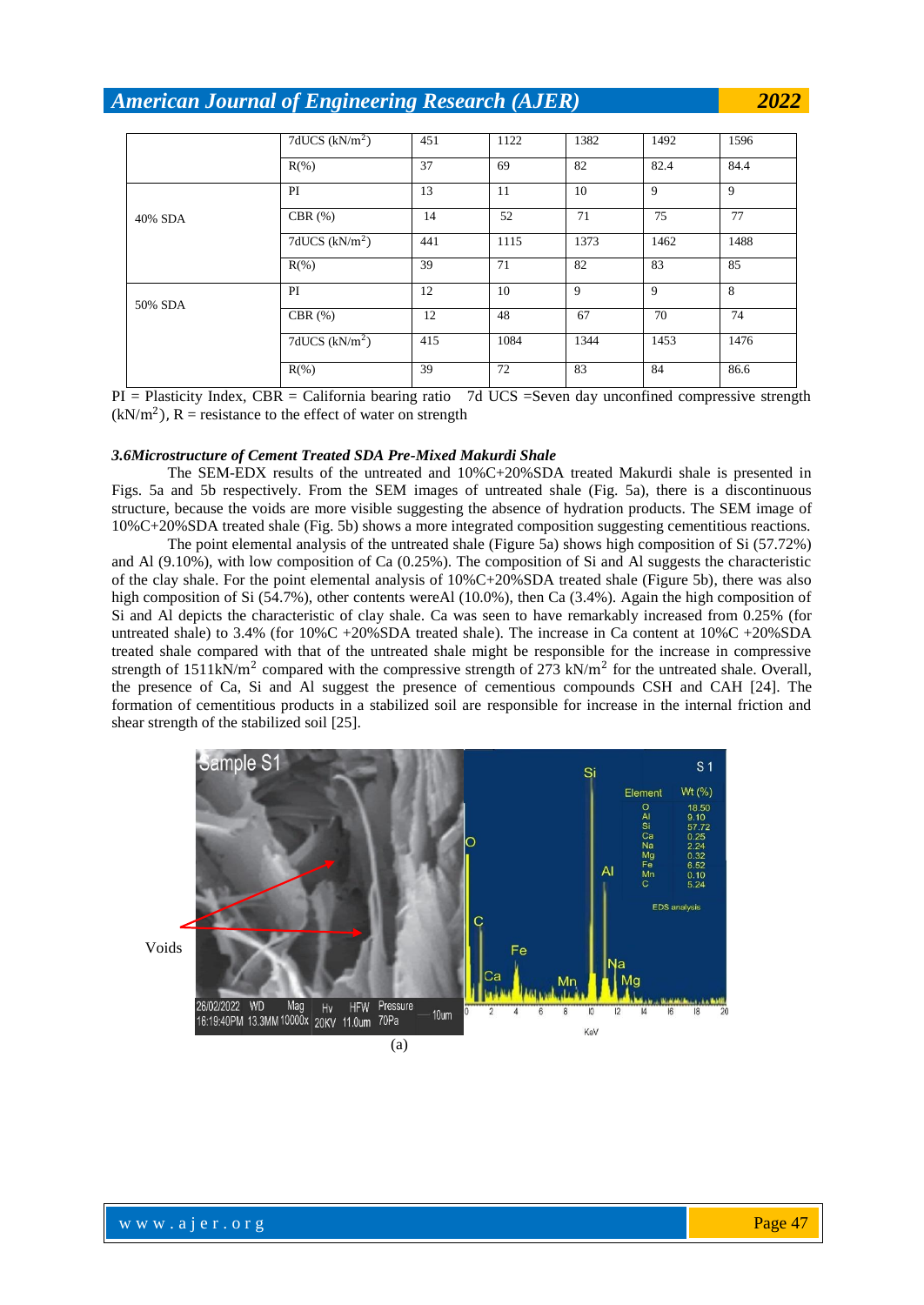|         | 7dUCS $(kN/m2)$ | 451 | 1122 | 1382 | 1492 | 1596 |
|---------|-----------------|-----|------|------|------|------|
|         | $R$ (%)         | 37  | 69   | 82   | 82.4 | 84.4 |
|         | PI              | 13  | 11   | 10   | 9    | 9    |
| 40% SDA | CBR $(\%)$      | 14  | 52   | 71   | 75   | 77   |
|         | 7dUCS $(kN/m2)$ | 441 | 1115 | 1373 | 1462 | 1488 |
|         | $R(\% )$        | 39  | 71   | 82   | 83   | 85   |
| 50% SDA | PI              | 12  | 10   | 9    | 9    | 8    |
|         | CBR $(%)$       | 12  | 48   | 67   | 70   | 74   |
|         | 7dUCS $(kN/m2)$ | 415 | 1084 | 1344 | 1453 | 1476 |
|         | $R(\% )$        | 39  | 72   | 83   | 84   | 86.6 |

PI = Plasticity Index, CBR = California bearing ratio 7d UCS =Seven day unconfined compressive strength  $(kN/m<sup>2</sup>)$ , R = resistance to the effect of water on strength

#### *3.6Microstructure of Cement Treated SDA Pre-Mixed Makurdi Shale*

The SEM-EDX results of the untreated and 10%C+20%SDA treated Makurdi shale is presented in Figs. 5a and 5b respectively. From the SEM images of untreated shale (Fig. 5a), there is a discontinuous structure, because the voids are more visible suggesting the absence of hydration products. The SEM image of 10%C+20%SDA treated shale (Fig. 5b) shows a more integrated composition suggesting cementitious reactions.

The point elemental analysis of the untreated shale (Figure 5a) shows high composition of Si (57.72%) and Al (9.10%), with low composition of Ca (0.25%). The composition of Si and Al suggests the characteristic of the clay shale. For the point elemental analysis of 10%C+20%SDA treated shale (Figure 5b), there was also high composition of Si (54.7%), other contents wereAl (10.0%), then Ca (3.4%). Again the high composition of Si and Al depicts the characteristic of clay shale. Ca was seen to have remarkably increased from 0.25% (for untreated shale) to 3.4% (for 10%C +20%SDA treated shale). The increase in Ca content at 10%C +20%SDA treated shale compared with that of the untreated shale might be responsible for the increase in compressive strength of 1511kN/ $m^2$  compared with the compressive strength of 273 kN/ $m^2$  for the untreated shale. Overall, the presence of Ca, Si and Al suggest the presence of cementious compounds CSH and CAH [24]. The formation of cementitious products in a stabilized soil are responsible for increase in the internal friction and shear strength of the stabilized soil [25].

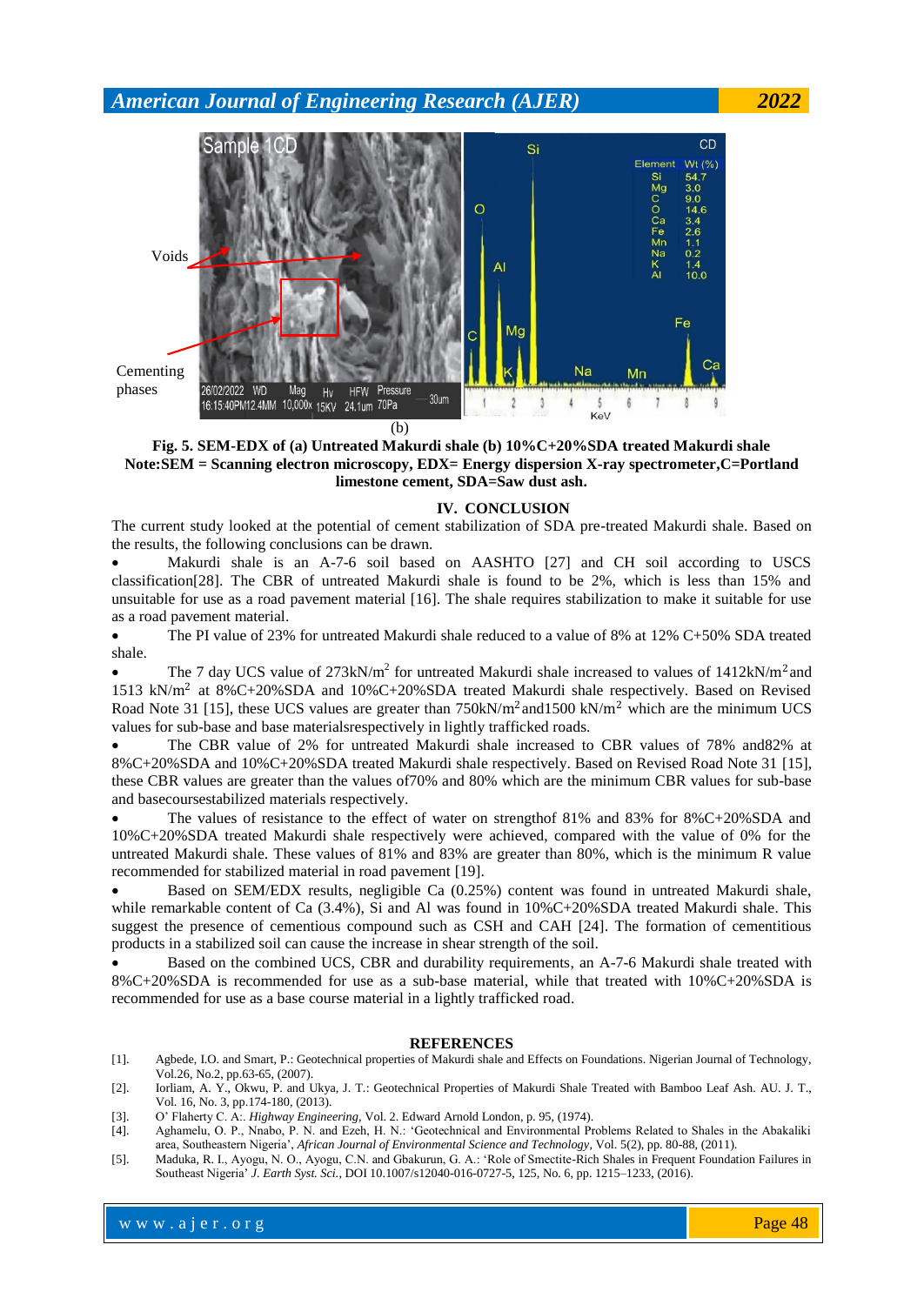

**Fig. 5. SEM-EDX of (a) Untreated Makurdi shale (b) 10%C+20%SDA treated Makurdi shale Note:SEM = Scanning electron microscopy, EDX= Energy dispersion X-ray spectrometer,C=Portland limestone cement, SDA=Saw dust ash.**

#### **IV. CONCLUSION**

The current study looked at the potential of cement stabilization of SDA pre-treated Makurdi shale. Based on the results, the following conclusions can be drawn.

 Makurdi shale is an A-7-6 soil based on AASHTO [27] and CH soil according to USCS classification[28]. The CBR of untreated Makurdi shale is found to be 2%, which is less than 15% and unsuitable for use as a road pavement material [16]. The shale requires stabilization to make it suitable for use as a road pavement material.

• The PI value of 23% for untreated Makurdi shale reduced to a value of 8% at 12% C+50% SDA treated shale.

• The 7 day UCS value of  $273 \text{kN/m}^2$  for untreated Makurdi shale increased to values of  $1412 \text{kN/m}^2$  and 1513 kN/m<sup>2</sup> at 8%C+20%SDA and 10%C+20%SDA treated Makurdi shale respectively. Based on Revised Road Note 31 [15], these UCS values are greater than  $750kN/m^2$  and  $1500 kN/m^2$  which are the minimum UCS values for sub-base and base materialsrespectively in lightly trafficked roads.

 The CBR value of 2% for untreated Makurdi shale increased to CBR values of 78% and82% at 8%C+20%SDA and 10%C+20%SDA treated Makurdi shale respectively. Based on Revised Road Note 31 [15], these CBR values are greater than the values of70% and 80% which are the minimum CBR values for sub-base and basecoursestabilized materials respectively.

 The values of resistance to the effect of water on strengthof 81% and 83% for 8%C+20%SDA and 10%C+20%SDA treated Makurdi shale respectively were achieved, compared with the value of 0% for the untreated Makurdi shale. These values of 81% and 83% are greater than 80%, which is the minimum R value recommended for stabilized material in road pavement [19].

 Based on SEM/EDX results, negligible Ca (0.25%) content was found in untreated Makurdi shale, while remarkable content of Ca (3.4%), Si and Al was found in  $10\%C+20\%SDA$  treated Makurdi shale. This suggest the presence of cementious compound such as CSH and CAH [24]. The formation of cementitious products in a stabilized soil can cause the increase in shear strength of the soil.

 Based on the combined UCS, CBR and durability requirements, an A-7-6 Makurdi shale treated with 8%C+20%SDA is recommended for use as a sub-base material, while that treated with 10%C+20%SDA is recommended for use as a base course material in a lightly trafficked road.

#### **REFERENCES**

- [1]. Agbede, I.O. and Smart, P.: Geotechnical properties of Makurdi shale and Effects on Foundations. Nigerian Journal of Technology, Vol.26, No.2, pp.63-65, (2007).
- [2]. Iorliam, A. Y., Okwu, P. and Ukya, J. T.: Geotechnical Properties of Makurdi Shale Treated with Bamboo Leaf Ash. AU. J. T., Vol. 16, No. 3, pp.174-180, (2013).
- [3]. O' Flaherty C. A:. *Highway Engineering,* Vol. 2. Edward Arnold London, p. 95, (1974).
- [4]. Aghamelu, O. P., Nnabo, P. N. and Ezeh, H. N.: 'Geotechnical and Environmental Problems Related to Shales in the Abakaliki area, Southeastern Nigeria', *African Journal of Environmental Science and Technology*, Vol. 5(2), pp. 80-88, (2011).
- [5]. Maduka, R. I., Ayogu, N. O., Ayogu, C.N. and Gbakurun, G. A.: 'Role of Smectite-Rich Shales in Frequent Foundation Failures in Southeast Nigeria' *J. Earth Syst. Sci.*, DOI 10.1007/s12040-016-0727-5, 125, No. 6, pp. 1215–1233, (2016).